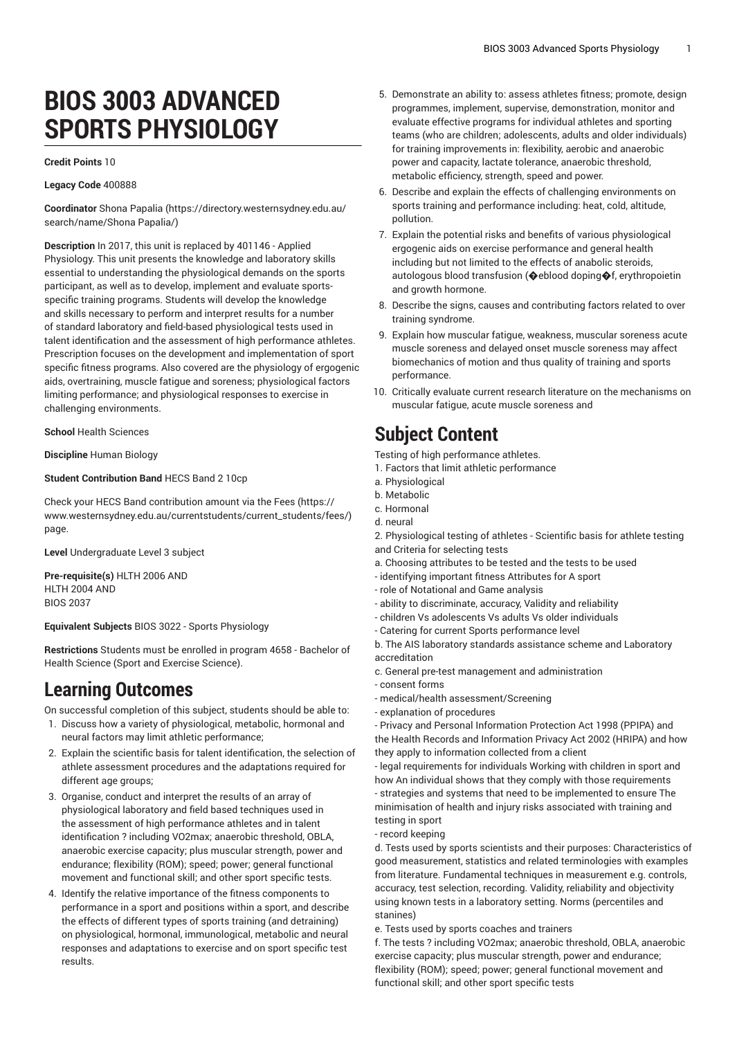# **BIOS 3003 ADVANCED SPORTS PHYSIOLOGY**

### **Credit Points** 10

### **Legacy Code** 400888

**Coordinator** Shona [Papalia](https://directory.westernsydney.edu.au/search/name/Shona Papalia/) ([https://directory.westernsydney.edu.au/](https://directory.westernsydney.edu.au/search/name/Shona Papalia/) [search/name/Shona](https://directory.westernsydney.edu.au/search/name/Shona Papalia/) Papalia/)

**Description** In 2017, this unit is replaced by 401146 - Applied Physiology. This unit presents the knowledge and laboratory skills essential to understanding the physiological demands on the sports participant, as well as to develop, implement and evaluate sportsspecific training programs. Students will develop the knowledge and skills necessary to perform and interpret results for a number of standard laboratory and field-based physiological tests used in talent identification and the assessment of high performance athletes. Prescription focuses on the development and implementation of sport specific fitness programs. Also covered are the physiology of ergogenic aids, overtraining, muscle fatigue and soreness; physiological factors limiting performance; and physiological responses to exercise in challenging environments.

**School** Health Sciences

**Discipline** Human Biology

### **Student Contribution Band** HECS Band 2 10cp

Check your HECS Band contribution amount via the [Fees \(https://](https://www.westernsydney.edu.au/currentstudents/current_students/fees/) [www.westernsydney.edu.au/currentstudents/current\\_students/fees/\)](https://www.westernsydney.edu.au/currentstudents/current_students/fees/) page.

**Level** Undergraduate Level 3 subject

**Pre-requisite(s)** [HLTH](/search/?P=HLTH%202006) 2006 AND [HLTH](/search/?P=HLTH%202004) 2004 AND BIOS 2037

**Equivalent Subjects** BIOS 3022 - Sports Physiology

**Restrictions** Students must be enrolled in program 4658 - Bachelor of Health Science (Sport and Exercise Science).

## **Learning Outcomes**

On successful completion of this subject, students should be able to:

- 1. Discuss how a variety of physiological, metabolic, hormonal and neural factors may limit athletic performance;
- 2. Explain the scientific basis for talent identification, the selection of athlete assessment procedures and the adaptations required for different age groups;
- 3. Organise, conduct and interpret the results of an array of physiological laboratory and field based techniques used in the assessment of high performance athletes and in talent identification ? including VO2max; anaerobic threshold, OBLA, anaerobic exercise capacity; plus muscular strength, power and endurance; flexibility (ROM); speed; power; general functional movement and functional skill; and other sport specific tests.
- 4. Identify the relative importance of the fitness components to performance in a sport and positions within a sport, and describe the effects of different types of sports training (and detraining) on physiological, hormonal, immunological, metabolic and neural responses and adaptations to exercise and on sport specific test results.
- 5. Demonstrate an ability to: assess athletes fitness; promote, design programmes, implement, supervise, demonstration, monitor and evaluate effective programs for individual athletes and sporting teams (who are children; adolescents, adults and older individuals) for training improvements in: flexibility, aerobic and anaerobic power and capacity, lactate tolerance, anaerobic threshold, metabolic efficiency, strength, speed and power.
- 6. Describe and explain the effects of challenging environments on sports training and performance including: heat, cold, altitude, pollution.
- 7. Explain the potential risks and benefits of various physiological ergogenic aids on exercise performance and general health including but not limited to the effects of anabolic steroids, autologous blood transfusion (@eblood doping@f, erythropoietin and growth hormone.
- 8. Describe the signs, causes and contributing factors related to over training syndrome.
- 9. Explain how muscular fatigue, weakness, muscular soreness acute muscle soreness and delayed onset muscle soreness may affect biomechanics of motion and thus quality of training and sports performance.
- 10. Critically evaluate current research literature on the mechanisms on muscular fatigue, acute muscle soreness and

### **Subject Content**

Testing of high performance athletes.

- 1. Factors that limit athletic performance
- a. Physiological
- b. Metabolic
- c. Hormonal
- d. neural
- 2. Physiological testing of athletes Scientific basis for athlete testing and Criteria for selecting tests
- a. Choosing attributes to be tested and the tests to be used
- identifying important fitness Attributes for A sport
- role of Notational and Game analysis
- ability to discriminate, accuracy, Validity and reliability
- children Vs adolescents Vs adults Vs older individuals
- Catering for current Sports performance level
- b. The AIS laboratory standards assistance scheme and Laboratory accreditation
- c. General pre-test management and administration
- consent forms
- medical/health assessment/Screening
- explanation of procedures

- Privacy and Personal Information Protection Act 1998 (PPIPA) and the Health Records and Information Privacy Act 2002 (HRIPA) and how they apply to information collected from a client

- legal requirements for individuals Working with children in sport and how An individual shows that they comply with those requirements - strategies and systems that need to be implemented to ensure The minimisation of health and injury risks associated with training and testing in sport

- record keeping

d. Tests used by sports scientists and their purposes: Characteristics of good measurement, statistics and related terminologies with examples from literature. Fundamental techniques in measurement e.g. controls, accuracy, test selection, recording. Validity, reliability and objectivity using known tests in a laboratory setting. Norms (percentiles and stanines)

e. Tests used by sports coaches and trainers

f. The tests ? including VO2max; anaerobic threshold, OBLA, anaerobic exercise capacity; plus muscular strength, power and endurance; flexibility (ROM); speed; power; general functional movement and functional skill; and other sport specific tests